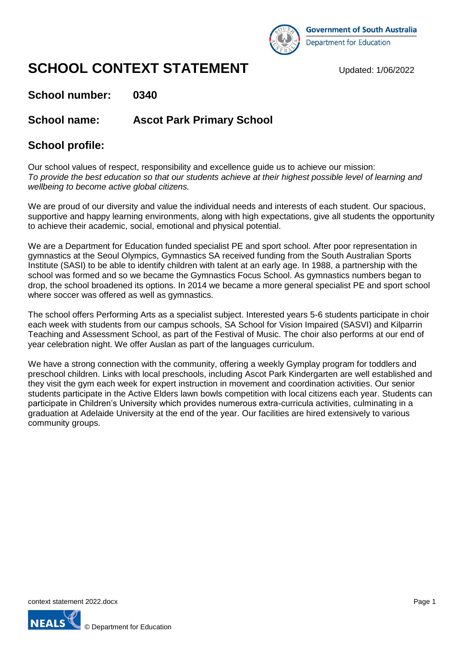

# **SCHOOL CONTEXT STATEMENT** Updated: 1/06/2022

**School number: 0340**

**School name: Ascot Park Primary School**

# **School profile:**

Our school values of respect, responsibility and excellence guide us to achieve our mission: *To provide the best education so that our students achieve at their highest possible level of learning and wellbeing to become active global citizens.*

We are proud of our diversity and value the individual needs and interests of each student. Our spacious, supportive and happy learning environments, along with high expectations, give all students the opportunity to achieve their academic, social, emotional and physical potential.

We are a Department for Education funded specialist PE and sport school. After poor representation in gymnastics at the Seoul Olympics, Gymnastics SA received funding from the South Australian Sports Institute (SASI) to be able to identify children with talent at an early age. In 1988, a partnership with the school was formed and so we became the Gymnastics Focus School. As gymnastics numbers began to drop, the school broadened its options. In 2014 we became a more general specialist PE and sport school where soccer was offered as well as gymnastics.

The school offers Performing Arts as a specialist subject. Interested years 5-6 students participate in choir each week with students from our campus schools, SA School for Vision Impaired (SASVI) and Kilparrin Teaching and Assessment School, as part of the Festival of Music. The choir also performs at our end of year celebration night. We offer Auslan as part of the languages curriculum.

We have a strong connection with the community, offering a weekly Gymplay program for toddlers and preschool children. Links with local preschools, including Ascot Park Kindergarten are well established and they visit the gym each week for expert instruction in movement and coordination activities. Our senior students participate in the Active Elders lawn bowls competition with local citizens each year. Students can participate in Children's University which provides numerous extra-curricula activities, culminating in a graduation at Adelaide University at the end of the year. Our facilities are hired extensively to various community groups.

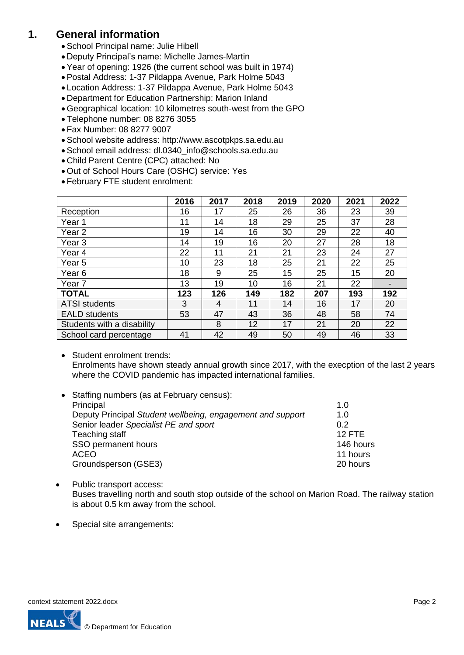# **1. General information**

- School Principal name: Julie Hibell
- Deputy Principal's name: Michelle James-Martin
- Year of opening: 1926 (the current school was built in 1974)
- Postal Address: 1-37 Pildappa Avenue, Park Holme 5043
- Location Address: 1-37 Pildappa Avenue, Park Holme 5043
- Department for Education Partnership: Marion Inland
- Geographical location: 10 kilometres south-west from the GPO
- Telephone number: 08 8276 3055
- Fax Number: 08 8277 9007
- School website address: http://www.ascotpkps.sa.edu.au
- School email address: dl.0340\_info@schools.sa.edu.au
- Child Parent Centre (CPC) attached: No
- Out of School Hours Care (OSHC) service: Yes
- February FTE student enrolment:

|                            | 2016 | 2017 | 2018 | 2019 | 2020 | 2021 | 2022 |
|----------------------------|------|------|------|------|------|------|------|
| Reception                  | 16   | 17   | 25   | 26   | 36   | 23   | 39   |
| Year 1                     | 11   | 14   | 18   | 29   | 25   | 37   | 28   |
| Year 2                     | 19   | 14   | 16   | 30   | 29   | 22   | 40   |
| Year 3                     | 14   | 19   | 16   | 20   | 27   | 28   | 18   |
| Year 4                     | 22   | 11   | 21   | 21   | 23   | 24   | 27   |
| Year 5                     | 10   | 23   | 18   | 25   | 21   | 22   | 25   |
| Year 6                     | 18   | 9    | 25   | 15   | 25   | 15   | 20   |
| Year 7                     | 13   | 19   | 10   | 16   | 21   | 22   |      |
| <b>TOTAL</b>               | 123  | 126  | 149  | 182  | 207  | 193  | 192  |
| <b>ATSI students</b>       | 3    | 4    | 11   | 14   | 16   | 17   | 20   |
| <b>EALD</b> students       | 53   | 47   | 43   | 36   | 48   | 58   | 74   |
| Students with a disability |      | 8    | 12   | 17   | 21   | 20   | 22   |
| School card percentage     | 41   | 42   | 49   | 50   | 49   | 46   | 33   |

• Student enrolment trends: Enrolments have shown steady annual growth since 2017, with the execption of the last 2 years where the COVID pandemic has impacted international families.

| • Staffing numbers (as at February census):                |           |
|------------------------------------------------------------|-----------|
| Principal                                                  | 1.0       |
| Deputy Principal Student wellbeing, engagement and support | 1.0       |
| Senior leader Specialist PE and sport                      | 0.2       |
| Teaching staff                                             | $12$ FTF  |
| SSO permanent hours                                        | 146 hours |
| <b>ACEO</b>                                                | 11 hours  |
| Groundsperson (GSE3)                                       | 20 hours  |
|                                                            |           |

- Public transport access: Buses travelling north and south stop outside of the school on Marion Road. The railway station is about 0.5 km away from the school.
- Special site arrangements:

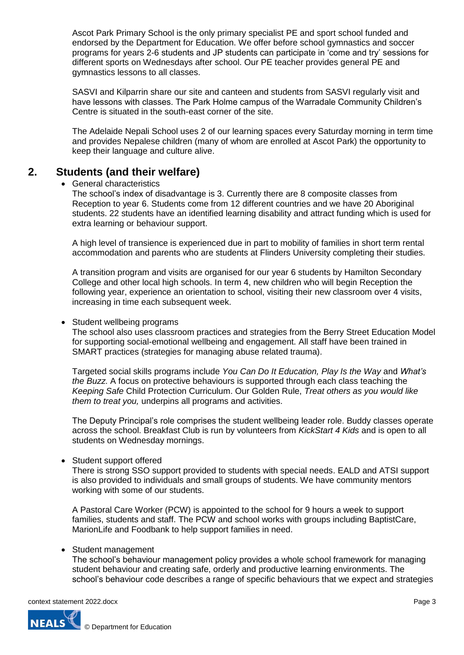Ascot Park Primary School is the only primary specialist PE and sport school funded and endorsed by the Department for Education. We offer before school gymnastics and soccer programs for years 2-6 students and JP students can participate in 'come and try' sessions for different sports on Wednesdays after school. Our PE teacher provides general PE and gymnastics lessons to all classes.

SASVI and Kilparrin share our site and canteen and students from SASVI regularly visit and have lessons with classes. The Park Holme campus of the Warradale Community Children's Centre is situated in the south-east corner of the site.

The Adelaide Nepali School uses 2 of our learning spaces every Saturday morning in term time and provides Nepalese children (many of whom are enrolled at Ascot Park) the opportunity to keep their language and culture alive.

## **2. Students (and their welfare)**

#### General characteristics

The school's index of disadvantage is 3. Currently there are 8 composite classes from Reception to year 6. Students come from 12 different countries and we have 20 Aboriginal students. 22 students have an identified learning disability and attract funding which is used for extra learning or behaviour support.

A high level of transience is experienced due in part to mobility of families in short term rental accommodation and parents who are students at Flinders University completing their studies.

A transition program and visits are organised for our year 6 students by Hamilton Secondary College and other local high schools. In term 4, new children who will begin Reception the following year, experience an orientation to school, visiting their new classroom over 4 visits, increasing in time each subsequent week.

#### Student wellbeing programs

The school also uses classroom practices and strategies from the Berry Street Education Model for supporting social-emotional wellbeing and engagement. All staff have been trained in SMART practices (strategies for managing abuse related trauma).

Targeted social skills programs include *You Can Do It Education, Play Is the Way* and *What's the Buzz*. A focus on protective behaviours is supported through each class teaching the *Keeping Safe* Child Protection Curriculum. Our Golden Rule, *Treat others as you would like them to treat you,* underpins all programs and activities.

The Deputy Principal's role comprises the student wellbeing leader role. Buddy classes operate across the school. Breakfast Club is run by volunteers from *KickStart 4 Kids* and is open to all students on Wednesday mornings.

#### Student support offered

There is strong SSO support provided to students with special needs. EALD and ATSI support is also provided to individuals and small groups of students. We have community mentors working with some of our students.

A Pastoral Care Worker (PCW) is appointed to the school for 9 hours a week to support families, students and staff. The PCW and school works with groups including BaptistCare, MarionLife and Foodbank to help support families in need.

#### • Student management

The school's behaviour management policy provides a whole school framework for managing student behaviour and creating safe, orderly and productive learning environments. The school's behaviour code describes a range of specific behaviours that we expect and strategies

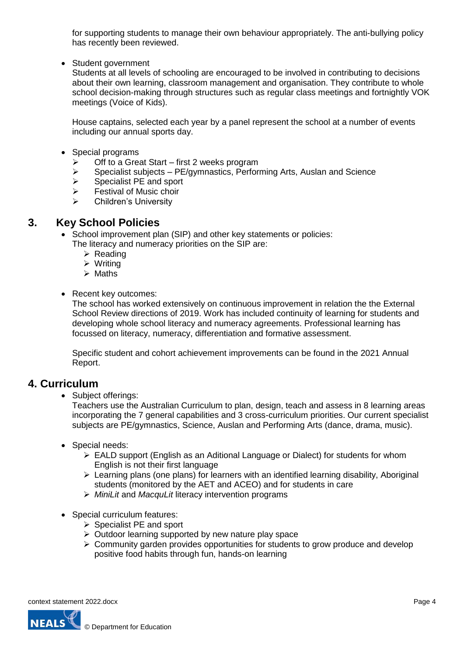for supporting students to manage their own behaviour appropriately. The anti-bullying policy has recently been reviewed.

• Student government

Students at all levels of schooling are encouraged to be involved in contributing to decisions about their own learning, classroom management and organisation. They contribute to whole school decision-making through structures such as regular class meetings and fortnightly VOK meetings (Voice of Kids).

House captains, selected each year by a panel represent the school at a number of events including our annual sports day.

- Special programs
	- $\triangleright$  Off to a Great Start first 2 weeks program
	- $\triangleright$  Specialist subjects PE/gymnastics, Performing Arts, Auslan and Science
	- $\triangleright$  Specialist PE and sport
	- $\triangleright$  Festival of Music choir
	- Children's University

#### **3. Key School Policies**

- School improvement plan (SIP) and other key statements or policies:
	- The literacy and numeracy priorities on the SIP are:
		- $\triangleright$  Reading
		- $\triangleright$  Writing
		- $\triangleright$  Maths
- Recent key outcomes:

The school has worked extensively on continuous improvement in relation the the External School Review directions of 2019. Work has included continuity of learning for students and developing whole school literacy and numeracy agreements. Professional learning has focussed on literacy, numeracy, differentiation and formative assessment.

Specific student and cohort achievement improvements can be found in the 2021 Annual Report.

#### **4. Curriculum**

• Subject offerings:

Teachers use the Australian Curriculum to plan, design, teach and assess in 8 learning areas incorporating the 7 general capabilities and 3 cross-curriculum priorities. Our current specialist subjects are PE/gymnastics, Science, Auslan and Performing Arts (dance, drama, music).

- Special needs:
	- EALD support (English as an Aditional Language or Dialect) for students for whom English is not their first language
	- $\triangleright$  Learning plans (one plans) for learners with an identified learning disability, Aboriginal students (monitored by the AET and ACEO) and for students in care
	- *MiniLit* and *MacquLit* literacy intervention programs
- Special curriculum features:
	- $\triangleright$  Specialist PE and sport
	- $\triangleright$  Outdoor learning supported by new nature play space
	- $\geq$  Community garden provides opportunities for students to grow produce and develop positive food habits through fun, hands-on learning

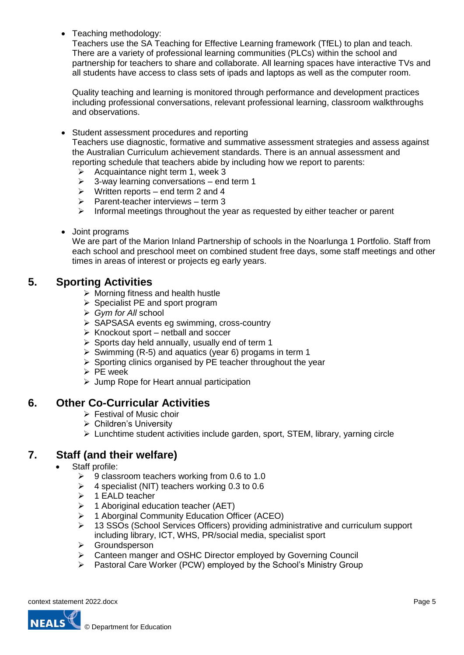Teaching methodology:

Teachers use the SA Teaching for Effective Learning framework (TfEL) to plan and teach. There are a variety of professional learning communities (PLCs) within the school and partnership for teachers to share and collaborate. All learning spaces have interactive TVs and all students have access to class sets of ipads and laptops as well as the computer room.

Quality teaching and learning is monitored through performance and development practices including professional conversations, relevant professional learning, classroom walkthroughs and observations.

- Student assessment procedures and reporting Teachers use diagnostic, formative and summative assessment strategies and assess against the Australian Curriculum achievement standards. There is an annual assessment and reporting schedule that teachers abide by including how we report to parents:
	- $\triangleright$  Acquaintance night term 1, week 3
	- $\geq$  3-way learning conversations end term 1
	- $\triangleright$  Written reports end term 2 and 4
	- $\triangleright$  Parent-teacher interviews term 3
	- $\triangleright$  Informal meetings throughout the year as requested by either teacher or parent
- Joint programs

We are part of the Marion Inland Partnership of schools in the Noarlunga 1 Portfolio. Staff from each school and preschool meet on combined student free days, some staff meetings and other times in areas of interest or projects eg early years.

## **5. Sporting Activities**

- $\triangleright$  Morning fitness and health hustle
- $\triangleright$  Specialist PE and sport program
- *Gym for All* school
- ▶ SAPSASA events eg swimming, cross-country
- $\triangleright$  Knockout sport netball and soccer
- $\triangleright$  Sports day held annually, usually end of term 1
- $\triangleright$  Swimming (R-5) and aquatics (year 6) progams in term 1
- $\triangleright$  Sporting clinics organised by PE teacher throughout the year
- $\triangleright$  PE week
- $\triangleright$  Jump Rope for Heart annual participation

## **6. Other Co-Curricular Activities**

- $\triangleright$  Festival of Music choir
- Children's University
- $\triangleright$  Lunchtime student activities include garden, sport, STEM, library, yarning circle

# **7. Staff (and their welfare)**

- Staff profile:
	- $\geq$  9 classroom teachers working from 0.6 to 1.0
	- $\geq$  4 specialist (NIT) teachers working 0.3 to 0.6
	- $\triangleright$  1 EALD teacher
	- $\geq$  1 Aboriginal education teacher (AET)
	- 1 Aborginal Community Education Officer (ACEO)
	- 13 SSOs (School Services Officers) providing administrative and curriculum support including library, ICT, WHS, PR/social media, specialist sport
	- **▶** Groundsperson
	- Canteen manger and OSHC Director employed by Governing Council
	- Pastoral Care Worker (PCW) employed by the School's Ministry Group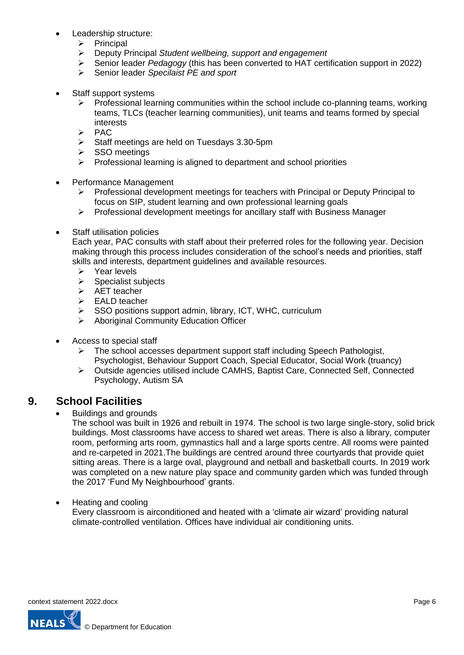- Leadership structure:
	- Principal
	- Deputy Principal *Student wellbeing, support and engagement*
	- Senior leader *Pedagogy* (this has been converted to HAT certification support in 2022)
	- Senior leader *Specilaist PE and sport*
- Staff support systems
	- $\triangleright$  Professional learning communities within the school include co-planning teams, working teams, TLCs (teacher learning communities), unit teams and teams formed by special interests
	- $\triangleright$  PAC
	- $\triangleright$  Staff meetings are held on Tuesdays 3.30-5pm
	- $>$  SSO meetings
	- $\triangleright$  Professional learning is aligned to department and school priorities
- Performance Management
	- Professional development meetings for teachers with Principal or Deputy Principal to focus on SIP, student learning and own professional learning goals
	- $\triangleright$  Professional development meetings for ancillary staff with Business Manager
- Staff utilisation policies

Each year, PAC consults with staff about their preferred roles for the following year. Decision making through this process includes consideration of the school's needs and priorities, staff skills and interests, department guidelines and available resources.

- $\triangleright$  Year levels
- $\triangleright$  Specialist subjects
- $\triangleright$  AET teacher
- EALD teacher
- $\triangleright$  SSO positions support admin, library, ICT, WHC, curriculum
- Aboriginal Community Education Officer
- Access to special staff
	- $\triangleright$  The school accesses department support staff including Speech Pathologist, Psychologist, Behaviour Support Coach, Special Educator, Social Work (truancy)
	- Outside agencies utilised include CAMHS, Baptist Care, Connected Self, Connected Psychology, Autism SA

## **9. School Facilities**

Buildings and grounds

The school was built in 1926 and rebuilt in 1974. The school is two large single-story, solid brick buildings. Most classrooms have access to shared wet areas. There is also a library, computer room, performing arts room, gymnastics hall and a large sports centre. All rooms were painted and re-carpeted in 2021.The buildings are centred around three courtyards that provide quiet sitting areas. There is a large oval, playground and netball and basketball courts. In 2019 work was completed on a new nature play space and community garden which was funded through the 2017 'Fund My Neighbourhood' grants.

#### • Heating and cooling

Every classroom is airconditioned and heated with a 'climate air wizard' providing natural climate-controlled ventilation. Offices have individual air conditioning units.

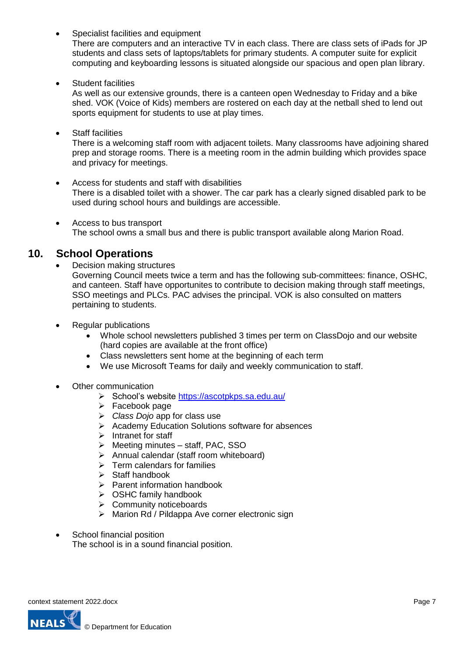• Specialist facilities and equipment

There are computers and an interactive TV in each class. There are class sets of iPads for JP students and class sets of laptops/tablets for primary students. A computer suite for explicit computing and keyboarding lessons is situated alongside our spacious and open plan library.

• Student facilities

As well as our extensive grounds, there is a canteen open Wednesday to Friday and a bike shed. VOK (Voice of Kids) members are rostered on each day at the netball shed to lend out sports equipment for students to use at play times.

Staff facilities

There is a welcoming staff room with adjacent toilets. Many classrooms have adjoining shared prep and storage rooms. There is a meeting room in the admin building which provides space and privacy for meetings.

- Access for students and staff with disabilities There is a disabled toilet with a shower. The car park has a clearly signed disabled park to be used during school hours and buildings are accessible.
- Access to bus transport The school owns a small bus and there is public transport available along Marion Road.

# **10. School Operations**

- Decision making structures Governing Council meets twice a term and has the following sub-committees: finance, OSHC, and canteen. Staff have opportunites to contribute to decision making through staff meetings, SSO meetings and PLCs. PAC advises the principal. VOK is also consulted on matters pertaining to students.
- Regular publications
	- Whole school newsletters published 3 times per term on ClassDojo and our website (hard copies are available at the front office)
	- Class newsletters sent home at the beginning of each term
	- We use Microsoft Teams for daily and weekly communication to staff.
- Other communication
	- School's website <https://ascotpkps.sa.edu.au/>
	- $\triangleright$  Facebook page
	- *Class Dojo* app for class use
	- **EXACCORDIGHT ACCORDIGHT ACCORDIGHT ACCORDIGHT ACCORDIGHT ACCORDIGHT ACCORDIGHT ACCORDIGHT ACCORDIGHT ACCORDIGHT**
	- $\triangleright$  Intranet for staff
	- $\triangleright$  Meeting minutes staff, PAC, SSO
	- Annual calendar (staff room whiteboard)
	- $\triangleright$  Term calendars for families
	- $\triangleright$  Staff handbook
	- $\triangleright$  Parent information handbook
	- $\triangleright$  OSHC family handbook
	- $\triangleright$  Community noticeboards
	- $\triangleright$  Marion Rd / Pildappa Ave corner electronic sign
- School financial position The school is in a sound financial position.